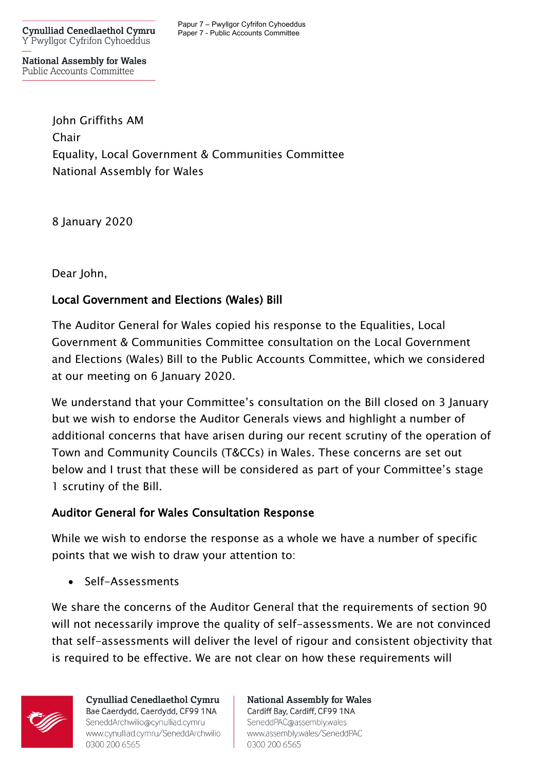**Cynulliad Cenedlaethol Cymru** Y Pwyllgor Cyfrifon Cyhoeddus

Papur 7 – Pwyllgor Cyfrifon Cyhoeddus Paper 7 - Public Accounts Committee

**National Assembly for Wales** Public Accounts Committee

> John Griffiths AM Chair Equality, Local Government & Communities Committee National Assembly for Wales

8 January 2020

Dear John,

## Local Government and Elections (Wales) Bill

The Auditor General for Wales copied his response to the Equalities, Local Government & Communities Committee consultation on the Local Government and Elections (Wales) Bill to the Public Accounts Committee, which we considered at our meeting on 6 January 2020.

We understand that your Committee's consultation on the Bill closed on 3 January but we wish to endorse the Auditor Generals views and highlight a number of additional concerns that have arisen during our recent scrutiny of the operation of Town and Community Councils (T&CCs) in Wales. These concerns are set out below and I trust that these will be considered as part of your Committee's stage 1 scrutiny of the Bill.

## Auditor General for Wales Consultation Response

While we wish to endorse the response as a whole we have a number of specific points that we wish to draw your attention to:

• Self-Assessments

We share the concerns of the Auditor General that the requirements of section 90 will not necessarily improve the quality of self-assessments. We are not convinced that self-assessments will deliver the level of rigour and consistent objectivity that is required to be effective. We are not clear on how these requirements will



**Cynulliad Cenedlaethol Cymru** Bae Caerdydd, Caerdydd, CF99 1NA SeneddArchwilio@cynulliad.cymru www.cynulliad.cymru/SeneddArchwilio 0300 200 6565

**National Assembly for Wales** Cardiff Bay, Cardiff, CF99 1NA SeneddPAC@assembly.wales www.assembly.wales/SeneddPAC 0300 200 6565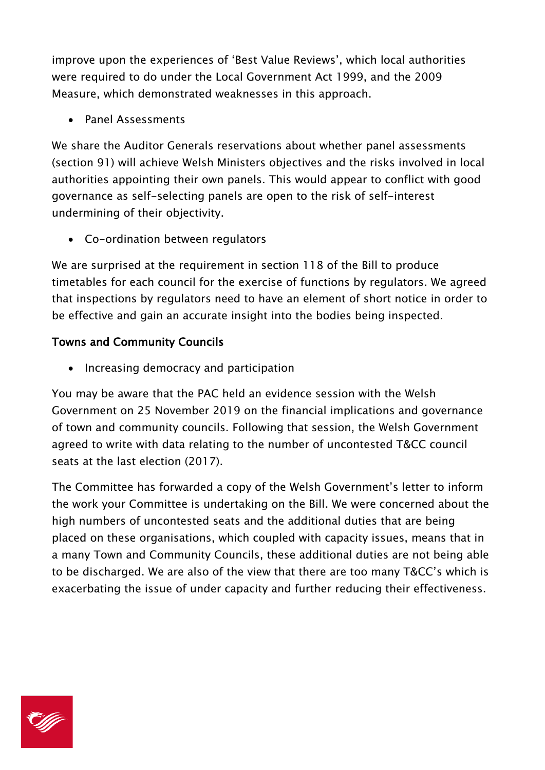improve upon the experiences of 'Best Value Reviews', which local authorities were required to do under the Local Government Act 1999, and the 2009 Measure, which demonstrated weaknesses in this approach.

• Panel Assessments

We share the Auditor Generals reservations about whether panel assessments (section 91) will achieve Welsh Ministers objectives and the risks involved in local authorities appointing their own panels. This would appear to conflict with good governance as self-selecting panels are open to the risk of self-interest undermining of their objectivity.

• Co-ordination between regulators

We are surprised at the requirement in section 118 of the Bill to produce timetables for each council for the exercise of functions by regulators. We agreed that inspections by regulators need to have an element of short notice in order to be effective and gain an accurate insight into the bodies being inspected.

## Towns and Community Councils

• Increasing democracy and participation

You may be aware that the PAC held an evidence session with the Welsh Government on 25 November 2019 on the financial implications and governance of town and community councils. Following that session, the Welsh Government agreed to write with data relating to the number of uncontested T&CC council seats at the last election (2017).

The Committee has forwarded a copy of the Welsh Government's letter to inform the work your Committee is undertaking on the Bill. We were concerned about the high numbers of uncontested seats and the additional duties that are being placed on these organisations, which coupled with capacity issues, means that in a many Town and Community Councils, these additional duties are not being able to be discharged. We are also of the view that there are too many T&CC's which is exacerbating the issue of under capacity and further reducing their effectiveness.